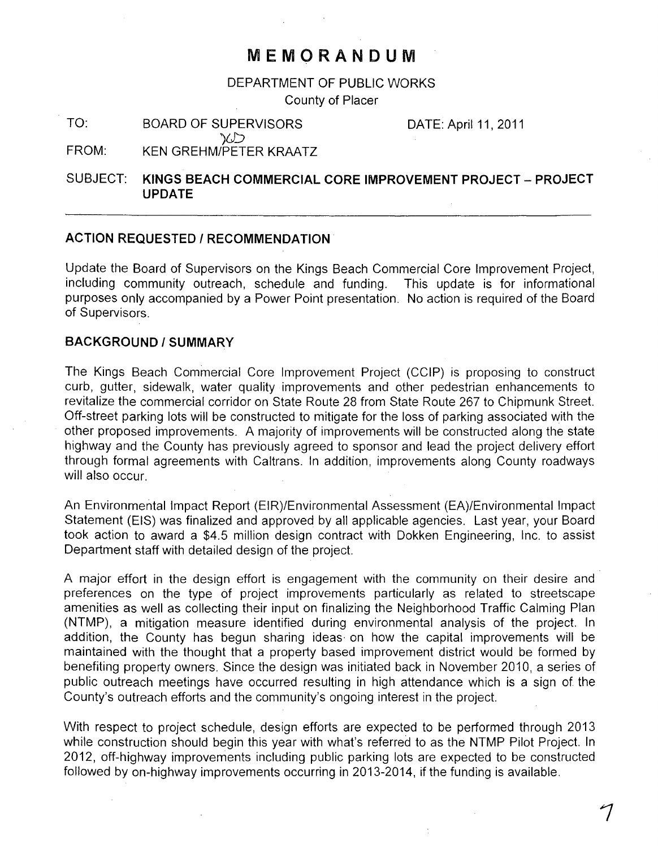# **MEMORANDUM**

DEPARTMENT OF PUBLIC WORKS

County of Placer

TO: BOARD OF SUPERVISORS DATE: April 11, 2011

FROM: KEN GREHM/PETER KRAATZ

 $\infty$ 

# SUBJECT: **KINGS BEACH COMMERCIAL CORE IMPROVEMENT PROJECT - PROJECT UPDATE**

## **ACTION REQUESTED / RECOMMENDATION·**

Update the Board of Supervisors on the Kings Beach Commercial Core Improvement Project, including community outreach, schedule and funding. This update is for informational purposes only accompanied by a Power Point presentation. No action is required of the Board of Supervisors.

#### **BACKGROUND/SUMMARY**

The Kings Beach Commercial Core Improvement Project (CCIP) is proposing to construct curb, gutter, sidewalk, water quality improvements and other pedestrian enhancements to revitalize the commercial corridor on State Route 28 from State Route 267 to Chipmunk Street. Off-street parking lots will be constructed to mitigate for the loss of parking associated with the other proposed improvements. A majority of improvements will be constructed along the state highway and the County has previously agreed to sponsor and lead the project delivery effort through formal agreements with Caltrans. In addition, improvements along County roadways will also occur.

An Environmental Impact Report (EIR)/Environmental Assessment (EA)/Environmental Impact Statement (EIS) was finalized and approved by all applicable agencies. Last year, your Board took action to award a \$4.5 million design contract with Dokken Engineering, Inc. to assist Department staff with detailed design of the project.

A major effort in the design effort is engagement with the community on their desire and preferences on the type of project improvements particularly as related to streetscape amenities as well as collecting their input on finalizing the Neighborhood Traffic Calming Plan (NTMP), a mitigation measure identified during environmental analysis of the project. In addition, the County has begun sharing ideas· on how the capital improvements will be maintained with the thought that a property based improvement district would be formed by benefiting property owners. Since the design was initiated back in November 2010, a series of public outreach meetings have occurred resulting in high attendance which is a sign of the County's outreach efforts and the community's ongoing interest in the project.

With respect to project schedule, design efforts are expected to be performed through 2013 while construction should begin this year with what's referred to as the NTMP Pilot Project. In 2012, off-highway improvements including public parking lots are expected to be constructed followed by on-highway improvements occurring in 2013-2014, if the funding is available.